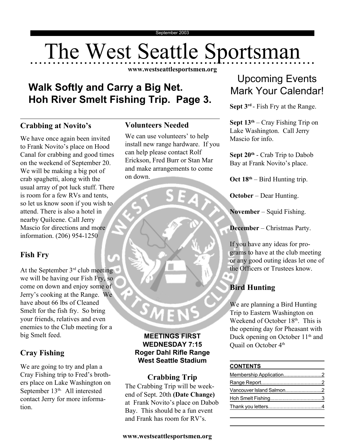# The West Seattle Sportsman

**www.westseattlesportsmen.org**

# **Walk Softly and Carry a Big Net. Hoh River Smelt Fishing Trip. Page 3.**

# **Crabbing at Novito's**

We have once again been invited to Frank Novito's place on Hood Canal for crabbing and good times on the weekend of September 20. We will be making a big pot of crab spaghetti, along with the usual array of pot luck stuff. There is room for a few RVs and tents, so let us know soon if you wish to attend. There is also a hotel in nearby Quilcene. Call Jerry Mascio for directions and more information. (206) 954-1250

# **Fish Fry**

At the September  $3<sup>rd</sup>$  club meeting we will be having our Fish Fry, so come on down and enjoy some of Jerry's cooking at the Range. We have about 66 lbs of Cleaned Smelt for the fish fry. So bring your friends, relatives and even enemies to the Club meeting for a big Smelt feed.

# **Cray Fishing**

We are going to try and plan a Cray Fishing trip to Fred's brothers place on Lake Washington on September 13<sup>th.</sup> All interested contact Jerry for more information.

# **Volunteers Needed**

We can use volunteers' to help install new range hardware. If you can help please contact Rolf Erickson, Fred Burr or Stan Mar and make arrangements to come on down.

#### **MEETINGS FIRST WEDNESDAY 7:15 Roger Dahl Rifle Range West Seattle Stadium**

**MEN** 

#### **Crabbing Trip** The Crabbing Trip will be weekend of Sept. 20th **(Date Change)** at Frank Novito's place on Dabob Bay. This should be a fun event and Frank has room for RV's.

# Upcoming Events Mark Your Calendar!

**Sept 3rd** - Fish Fry at the Range.

**Sept 13th** – Cray Fishing Trip on Lake Washington. Call Jerry Mascio for info.

**Sept 20th** - Crab Trip to Dabob Bay at Frank Novito's place.

**Oct 18th** – Bird Hunting trip.

**October** – Dear Hunting.

**November** – Squid Fishing.

**December** – Christmas Party.

If you have any ideas for programs to have at the club meeting or any good outing ideas let one of the Officers or Trustees know.

# **Bird Hunting**

We are planning a Bird Hunting Trip to Eastern Washington on Weekend of October  $18<sup>th</sup>$ . This is the opening day for Pheasant with Duck opening on October 11<sup>th</sup> and Quail on October 4<sup>th</sup>

#### **CONTENTS**

| Vancouver Island Salmon2 |  |
|--------------------------|--|
|                          |  |
|                          |  |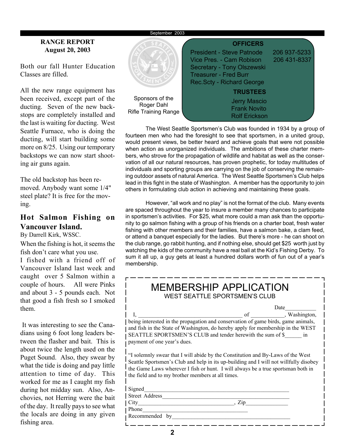#### September 2003

#### **RANGE REPORT August 20, 2003**

Both our fall Hunter Education Classes are filled.

All the new range equipment has been received, except part of the ducting. Seven of the new backstops are completely installed and the last is waiting for ducting. West Seattle Furnace, who is doing the ducting, will start building some more on 8/25. Using our temporary backstops we can now start shooting air guns again.

The old backstop has been removed. Anybody want some 1/4" steel plate? It is free for the moving.

# **Hot Salmon Fishing on Vancouver Island.**

By Darrell Kirk, WSSC.

When the fishing is hot, it seems the fish don't care what you use.

I fished with a friend off of Vancouver Island last week and caught over 5 Salmon within a couple of hours. All were Pinks and about 3 - 5 pounds each. Not that good a fish fresh so I smoked them.

 It was interesting to see the Canadians using 6 foot long leaders between the flasher and bait. This is about twice the length used on the Puget Sound. Also, they swear by what the tide is doing and pay little attention to time of day. This worked for me as I caught my fish during hot midday sun. Also, Anchovies, not Herring were the bait of the day. It really pays to see what the locals are doing in any given fishing area.



The West Seattle Sportsmen's Club was founded in 1934 by a group of fourteen men who had the foresight to see that sportsmen, in a united group, would present views, be better heard and achieve goals that were not possible when action as unorganized individuals. The ambitions of these charter members, who strove for the propagation of wildlife and habitat as well as the conservation of all our natural resources, has proven prophetic, for today multitudes of individuals and sporting groups are carrying on the job of conserving the remaining outdoor assets of natural America. The West Seattle Sportsmen's Club helps lead in this fight in the state of Washington. A member has the opportunity to join others in formulating club action in achieving and maintaining these goals.

However, "all work and no play" is not the format of the club. Many events are spaced throughout the year to insure a member many chances to participate in sportsmen's activities. For \$25, what more could a man ask than the opportunity to go salmon fishing with a group of his friends on a charter boat, fresh water fishing with other members and their families, have a salmon bake, a clam feed, or attend a banquet especially for the ladies. But there's more - he can shoot on the club range, go rabbit hunting, and if nothing else, should get \$25 worth just by watching the kids of the community have a real ball at the Kid's Fishing Derby. To sum it all up, a guy gets at least a hundred dollars worth of fun out of a year's membership.

| MEMBERSHIP APPLICATION<br>WEST SEATTLE SPORTSMEN'S CLUB                                                                                                                                                                                                                                                           |  |  |  |  |  |
|-------------------------------------------------------------------------------------------------------------------------------------------------------------------------------------------------------------------------------------------------------------------------------------------------------------------|--|--|--|--|--|
| Date                                                                                                                                                                                                                                                                                                              |  |  |  |  |  |
| of , Washington,                                                                                                                                                                                                                                                                                                  |  |  |  |  |  |
| being interested in the propagation and conservation of game birds, game animals,                                                                                                                                                                                                                                 |  |  |  |  |  |
| and fish in the State of Washington, do hereby apply for membership in the WEST                                                                                                                                                                                                                                   |  |  |  |  |  |
| SEATTLE SPORTSMEN'S CLUB and tender herewith the sum of \$ in<br>payment of one year's dues.                                                                                                                                                                                                                      |  |  |  |  |  |
| "I solemnly swear that I will abide by the Constitution and By-Laws of the West<br>Seattle Sportsmen's Club and help in its up-building and I will not willfully disobey<br>the Game Laws wherever I fish or hunt. I will always be a true sportsman both in<br>the field and to my brother members at all times. |  |  |  |  |  |
| Signed                                                                                                                                                                                                                                                                                                            |  |  |  |  |  |
| Street Address                                                                                                                                                                                                                                                                                                    |  |  |  |  |  |
| City City and the City of the City of the City of the City of the City of the City of the City of the City of the City of the City of the City of the City of the City of the City of the City of the City of the City of the<br>Zip                                                                              |  |  |  |  |  |
| Phone                                                                                                                                                                                                                                                                                                             |  |  |  |  |  |
| Recommended<br>by                                                                                                                                                                                                                                                                                                 |  |  |  |  |  |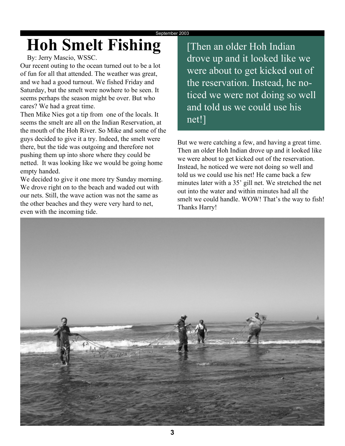# **Hoh Smelt Fishing**

# By: Jerry Mascio, WSSC.

Our recent outing to the ocean turned out to be a lot of fun for all that attended. The weather was great, and we had a good turnout. We fished Friday and Saturday, but the smelt were nowhere to be seen. It seems perhaps the season might be over. But who cares? We had a great time.

Then Mike Nies got a tip from one of the locals. It seems the smelt are all on the Indian Reservation, at the mouth of the Hoh River. So Mike and some of the guys decided to give it a try. Indeed, the smelt were there, but the tide was outgoing and therefore not pushing them up into shore where they could be netted. It was looking like we would be going home empty handed.

We decided to give it one more try Sunday morning. We drove right on to the beach and waded out with our nets. Still, the wave action was not the same as the other beaches and they were very hard to net, even with the incoming tide.

[Then an older Hoh Indian drove up and it looked like we were about to get kicked out of the reservation. Instead, he noticed we were not doing so well and told us we could use his net!]

But we were catching a few, and having a great time. Then an older Hoh Indian drove up and it looked like we were about to get kicked out of the reservation. Instead, he noticed we were not doing so well and told us we could use his net! He came back a few minutes later with a 35' gill net. We stretched the net out into the water and within minutes had all the smelt we could handle. WOW! That's the way to fish! Thanks Harry!